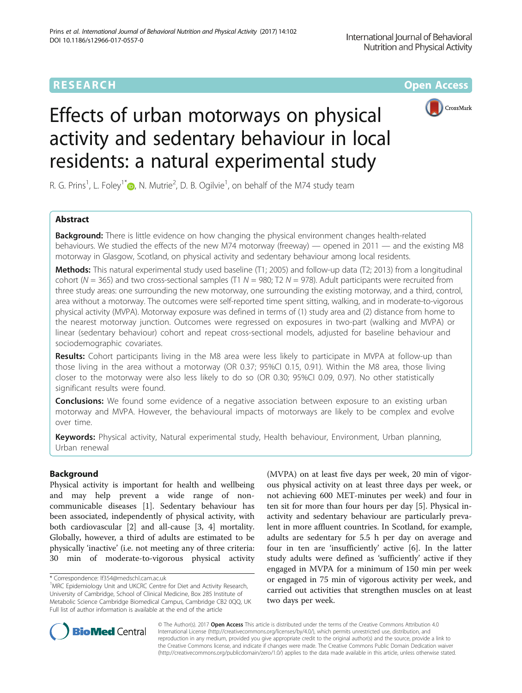# **RESEARCH CHE Open Access**



# Effects of urban motorways on physical activity and sedentary behaviour in local residents: a natural experimental study

R. G. Prins<sup>1</sup>[,](http://orcid.org/0000-0003-3028-7340) L. Foley<sup>1\*</sup>®, N. Mutrie<sup>2</sup>, D. B. Ogilvie<sup>1</sup>, on behalf of the M74 study team

# Abstract

**Background:** There is little evidence on how changing the physical environment changes health-related behaviours. We studied the effects of the new M74 motorway (freeway) — opened in 2011 — and the existing M8 motorway in Glasgow, Scotland, on physical activity and sedentary behaviour among local residents.

Methods: This natural experimental study used baseline (T1; 2005) and follow-up data (T2; 2013) from a longitudinal cohort ( $N = 365$ ) and two cross-sectional samples (T1  $N = 980$ ; T2  $N = 978$ ). Adult participants were recruited from three study areas: one surrounding the new motorway, one surrounding the existing motorway, and a third, control, area without a motorway. The outcomes were self-reported time spent sitting, walking, and in moderate-to-vigorous physical activity (MVPA). Motorway exposure was defined in terms of (1) study area and (2) distance from home to the nearest motorway junction. Outcomes were regressed on exposures in two-part (walking and MVPA) or linear (sedentary behaviour) cohort and repeat cross-sectional models, adjusted for baseline behaviour and sociodemographic covariates.

Results: Cohort participants living in the M8 area were less likely to participate in MVPA at follow-up than those living in the area without a motorway (OR 0.37; 95%CI 0.15, 0.91). Within the M8 area, those living closer to the motorway were also less likely to do so (OR 0.30; 95%CI 0.09, 0.97). No other statistically significant results were found.

**Conclusions:** We found some evidence of a negative association between exposure to an existing urban motorway and MVPA. However, the behavioural impacts of motorways are likely to be complex and evolve over time.

Keywords: Physical activity, Natural experimental study, Health behaviour, Environment, Urban planning, Urban renewal

# Background

Physical activity is important for health and wellbeing and may help prevent a wide range of noncommunicable diseases [[1\]](#page-8-0). Sedentary behaviour has been associated, independently of physical activity, with both cardiovascular [[2\]](#page-8-0) and all-cause [\[3](#page-8-0), [4\]](#page-8-0) mortality. Globally, however, a third of adults are estimated to be physically 'inactive' (i.e. not meeting any of three criteria: 30 min of moderate-to-vigorous physical activity

(MVPA) on at least five days per week, 20 min of vigorous physical activity on at least three days per week, or not achieving 600 MET-minutes per week) and four in ten sit for more than four hours per day [[5](#page-8-0)]. Physical inactivity and sedentary behaviour are particularly prevalent in more affluent countries. In Scotland, for example, adults are sedentary for 5.5 h per day on average and four in ten are 'insufficiently' active [\[6](#page-8-0)]. In the latter study adults were defined as 'sufficiently' active if they engaged in MVPA for a minimum of 150 min per week or engaged in 75 min of vigorous activity per week, and carried out activities that strengthen muscles on at least two days per week.



© The Author(s). 2017 **Open Access** This article is distributed under the terms of the Creative Commons Attribution 4.0 International License [\(http://creativecommons.org/licenses/by/4.0/](http://creativecommons.org/licenses/by/4.0/)), which permits unrestricted use, distribution, and reproduction in any medium, provided you give appropriate credit to the original author(s) and the source, provide a link to the Creative Commons license, and indicate if changes were made. The Creative Commons Public Domain Dedication waiver [\(http://creativecommons.org/publicdomain/zero/1.0/](http://creativecommons.org/publicdomain/zero/1.0/)) applies to the data made available in this article, unless otherwise stated.

<sup>\*</sup> Correspondence: [lf354@medschl.cam.ac.uk](mailto:lf354@medschl.cam.ac.uk) <sup>1</sup>

<sup>&</sup>lt;sup>1</sup>MRC Epidemiology Unit and UKCRC Centre for Diet and Activity Research, University of Cambridge, School of Clinical Medicine, Box 285 Institute of Metabolic Science Cambridge Biomedical Campus, Cambridge CB2 0QQ, UK Full list of author information is available at the end of the article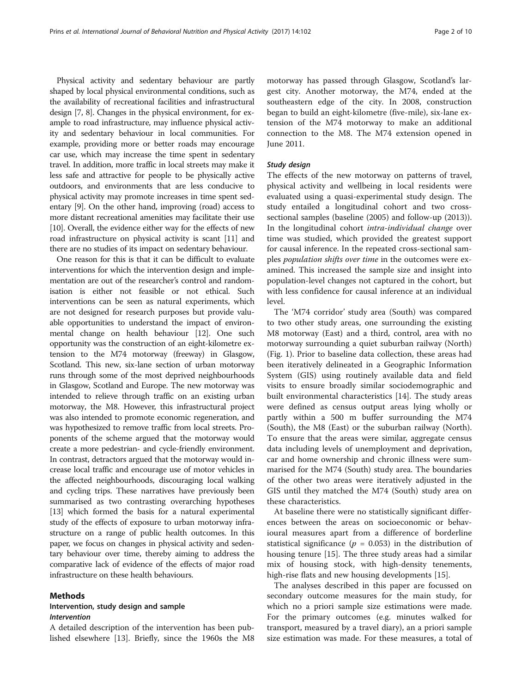Physical activity and sedentary behaviour are partly shaped by local physical environmental conditions, such as the availability of recreational facilities and infrastructural design [\[7, 8\]](#page-8-0). Changes in the physical environment, for example to road infrastructure, may influence physical activity and sedentary behaviour in local communities. For example, providing more or better roads may encourage car use, which may increase the time spent in sedentary travel. In addition, more traffic in local streets may make it less safe and attractive for people to be physically active outdoors, and environments that are less conducive to physical activity may promote increases in time spent sedentary [[9\]](#page-8-0). On the other hand, improving (road) access to more distant recreational amenities may facilitate their use [[10](#page-8-0)]. Overall, the evidence either way for the effects of new road infrastructure on physical activity is scant [[11](#page-8-0)] and there are no studies of its impact on sedentary behaviour.

One reason for this is that it can be difficult to evaluate interventions for which the intervention design and implementation are out of the researcher's control and randomisation is either not feasible or not ethical. Such interventions can be seen as natural experiments, which are not designed for research purposes but provide valuable opportunities to understand the impact of environmental change on health behaviour [[12](#page-8-0)]. One such opportunity was the construction of an eight-kilometre extension to the M74 motorway (freeway) in Glasgow, Scotland. This new, six-lane section of urban motorway runs through some of the most deprived neighbourhoods in Glasgow, Scotland and Europe. The new motorway was intended to relieve through traffic on an existing urban motorway, the M8. However, this infrastructural project was also intended to promote economic regeneration, and was hypothesized to remove traffic from local streets. Proponents of the scheme argued that the motorway would create a more pedestrian- and cycle-friendly environment. In contrast, detractors argued that the motorway would increase local traffic and encourage use of motor vehicles in the affected neighbourhoods, discouraging local walking and cycling trips. These narratives have previously been summarised as two contrasting overarching hypotheses [[13](#page-8-0)] which formed the basis for a natural experimental study of the effects of exposure to urban motorway infrastructure on a range of public health outcomes. In this paper, we focus on changes in physical activity and sedentary behaviour over time, thereby aiming to address the comparative lack of evidence of the effects of major road infrastructure on these health behaviours.

### Methods

### Intervention, study design and sample Intervention

A detailed description of the intervention has been published elsewhere [\[13](#page-8-0)]. Briefly, since the 1960s the M8

motorway has passed through Glasgow, Scotland's largest city. Another motorway, the M74, ended at the southeastern edge of the city. In 2008, construction began to build an eight-kilometre (five-mile), six-lane extension of the M74 motorway to make an additional connection to the M8. The M74 extension opened in June 2011.

### Study design

The effects of the new motorway on patterns of travel, physical activity and wellbeing in local residents were evaluated using a quasi-experimental study design. The study entailed a longitudinal cohort and two crosssectional samples (baseline (2005) and follow-up (2013)). In the longitudinal cohort intra-individual change over time was studied, which provided the greatest support for causal inference. In the repeated cross-sectional samples population shifts over time in the outcomes were examined. This increased the sample size and insight into population-level changes not captured in the cohort, but with less confidence for causal inference at an individual level.

The 'M74 corridor' study area (South) was compared to two other study areas, one surrounding the existing M8 motorway (East) and a third, control, area with no motorway surrounding a quiet suburban railway (North) (Fig. [1\)](#page-2-0). Prior to baseline data collection, these areas had been iteratively delineated in a Geographic Information System (GIS) using routinely available data and field visits to ensure broadly similar sociodemographic and built environmental characteristics [\[14](#page-8-0)]. The study areas were defined as census output areas lying wholly or partly within a 500 m buffer surrounding the M74 (South), the M8 (East) or the suburban railway (North). To ensure that the areas were similar, aggregate census data including levels of unemployment and deprivation, car and home ownership and chronic illness were summarised for the M74 (South) study area. The boundaries of the other two areas were iteratively adjusted in the GIS until they matched the M74 (South) study area on these characteristics.

At baseline there were no statistically significant differences between the areas on socioeconomic or behavioural measures apart from a difference of borderline statistical significance ( $p = 0.053$ ) in the distribution of housing tenure [\[15\]](#page-8-0). The three study areas had a similar mix of housing stock, with high-density tenements, high-rise flats and new housing developments [[15\]](#page-8-0).

The analyses described in this paper are focussed on secondary outcome measures for the main study, for which no a priori sample size estimations were made. For the primary outcomes (e.g. minutes walked for transport, measured by a travel diary), an a priori sample size estimation was made. For these measures, a total of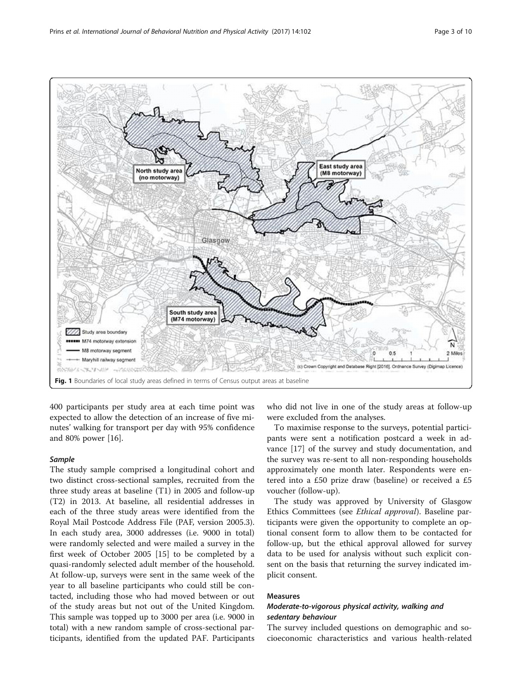<span id="page-2-0"></span>

400 participants per study area at each time point was expected to allow the detection of an increase of five minutes' walking for transport per day with 95% confidence and 80% power [[16](#page-8-0)].

### Sample

The study sample comprised a longitudinal cohort and two distinct cross-sectional samples, recruited from the three study areas at baseline (T1) in 2005 and follow-up (T2) in 2013. At baseline, all residential addresses in each of the three study areas were identified from the Royal Mail Postcode Address File (PAF, version 2005.3). In each study area, 3000 addresses (i.e. 9000 in total) were randomly selected and were mailed a survey in the first week of October 2005 [\[15](#page-8-0)] to be completed by a quasi-randomly selected adult member of the household. At follow-up, surveys were sent in the same week of the year to all baseline participants who could still be contacted, including those who had moved between or out of the study areas but not out of the United Kingdom. This sample was topped up to 3000 per area (i.e. 9000 in total) with a new random sample of cross-sectional participants, identified from the updated PAF. Participants

who did not live in one of the study areas at follow-up were excluded from the analyses.

To maximise response to the surveys, potential participants were sent a notification postcard a week in advance [[17\]](#page-8-0) of the survey and study documentation, and the survey was re-sent to all non-responding households approximately one month later. Respondents were entered into a £50 prize draw (baseline) or received a £5 voucher (follow-up).

The study was approved by University of Glasgow Ethics Committees (see *Ethical approval*). Baseline participants were given the opportunity to complete an optional consent form to allow them to be contacted for follow-up, but the ethical approval allowed for survey data to be used for analysis without such explicit consent on the basis that returning the survey indicated implicit consent.

# Measures

# Moderate-to-vigorous physical activity, walking and sedentary behaviour

The survey included questions on demographic and socioeconomic characteristics and various health-related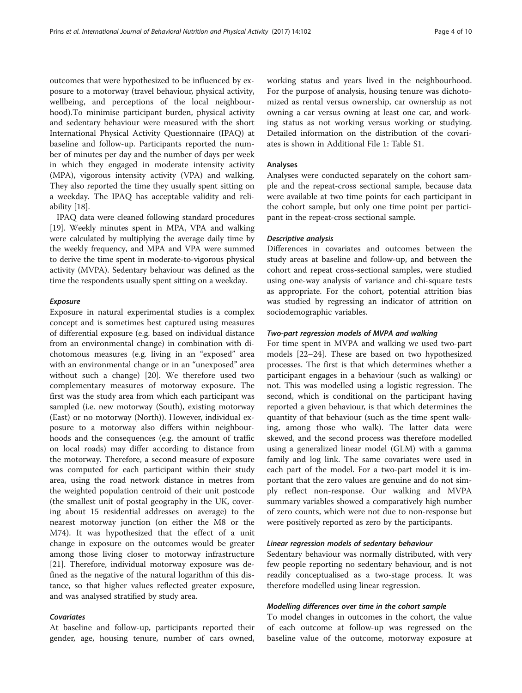outcomes that were hypothesized to be influenced by exposure to a motorway (travel behaviour, physical activity, wellbeing, and perceptions of the local neighbourhood).To minimise participant burden, physical activity and sedentary behaviour were measured with the short International Physical Activity Questionnaire (IPAQ) at baseline and follow-up. Participants reported the number of minutes per day and the number of days per week in which they engaged in moderate intensity activity (MPA), vigorous intensity activity (VPA) and walking. They also reported the time they usually spent sitting on a weekday. The IPAQ has acceptable validity and reliability [[18](#page-8-0)].

IPAQ data were cleaned following standard procedures [[19](#page-8-0)]. Weekly minutes spent in MPA, VPA and walking were calculated by multiplying the average daily time by the weekly frequency, and MPA and VPA were summed to derive the time spent in moderate-to-vigorous physical activity (MVPA). Sedentary behaviour was defined as the time the respondents usually spent sitting on a weekday.

### Exposure

Exposure in natural experimental studies is a complex concept and is sometimes best captured using measures of differential exposure (e.g. based on individual distance from an environmental change) in combination with dichotomous measures (e.g. living in an "exposed" area with an environmental change or in an "unexposed" area without such a change) [\[20](#page-8-0)]. We therefore used two complementary measures of motorway exposure. The first was the study area from which each participant was sampled (i.e. new motorway (South), existing motorway (East) or no motorway (North)). However, individual exposure to a motorway also differs within neighbourhoods and the consequences (e.g. the amount of traffic on local roads) may differ according to distance from the motorway. Therefore, a second measure of exposure was computed for each participant within their study area, using the road network distance in metres from the weighted population centroid of their unit postcode (the smallest unit of postal geography in the UK, covering about 15 residential addresses on average) to the nearest motorway junction (on either the M8 or the M74). It was hypothesized that the effect of a unit change in exposure on the outcomes would be greater among those living closer to motorway infrastructure [[21\]](#page-9-0). Therefore, individual motorway exposure was defined as the negative of the natural logarithm of this distance, so that higher values reflected greater exposure, and was analysed stratified by study area.

### **Covariates**

At baseline and follow-up, participants reported their gender, age, housing tenure, number of cars owned, working status and years lived in the neighbourhood. For the purpose of analysis, housing tenure was dichotomized as rental versus ownership, car ownership as not owning a car versus owning at least one car, and working status as not working versus working or studying. Detailed information on the distribution of the covariates is shown in Additional File [1:](#page-7-0) Table S1.

### Analyses

Analyses were conducted separately on the cohort sample and the repeat-cross sectional sample, because data were available at two time points for each participant in the cohort sample, but only one time point per participant in the repeat-cross sectional sample.

### Descriptive analysis

Differences in covariates and outcomes between the study areas at baseline and follow-up, and between the cohort and repeat cross-sectional samples, were studied using one-way analysis of variance and chi-square tests as appropriate. For the cohort, potential attrition bias was studied by regressing an indicator of attrition on sociodemographic variables.

### Two-part regression models of MVPA and walking

For time spent in MVPA and walking we used two-part models [[22](#page-9-0)–[24](#page-9-0)]. These are based on two hypothesized processes. The first is that which determines whether a participant engages in a behaviour (such as walking) or not. This was modelled using a logistic regression. The second, which is conditional on the participant having reported a given behaviour, is that which determines the quantity of that behaviour (such as the time spent walking, among those who walk). The latter data were skewed, and the second process was therefore modelled using a generalized linear model (GLM) with a gamma family and log link. The same covariates were used in each part of the model. For a two-part model it is important that the zero values are genuine and do not simply reflect non-response. Our walking and MVPA summary variables showed a comparatively high number of zero counts, which were not due to non-response but were positively reported as zero by the participants.

### Linear regression models of sedentary behaviour

Sedentary behaviour was normally distributed, with very few people reporting no sedentary behaviour, and is not readily conceptualised as a two-stage process. It was therefore modelled using linear regression.

### Modelling differences over time in the cohort sample

To model changes in outcomes in the cohort, the value of each outcome at follow-up was regressed on the baseline value of the outcome, motorway exposure at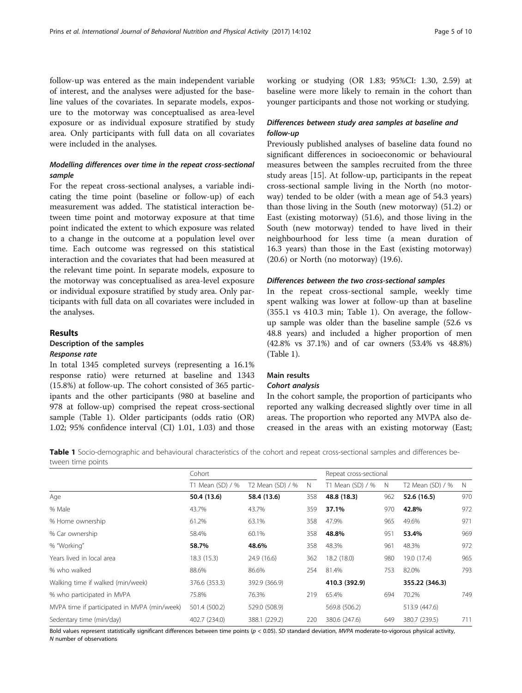follow-up was entered as the main independent variable of interest, and the analyses were adjusted for the baseline values of the covariates. In separate models, exposure to the motorway was conceptualised as area-level exposure or as individual exposure stratified by study area. Only participants with full data on all covariates were included in the analyses.

# Modelling differences over time in the repeat cross-sectional sample

For the repeat cross-sectional analyses, a variable indicating the time point (baseline or follow-up) of each measurement was added. The statistical interaction between time point and motorway exposure at that time point indicated the extent to which exposure was related to a change in the outcome at a population level over time. Each outcome was regressed on this statistical interaction and the covariates that had been measured at the relevant time point. In separate models, exposure to the motorway was conceptualised as area-level exposure or individual exposure stratified by study area. Only participants with full data on all covariates were included in the analyses.

# Results

# Description of the samples

### Response rate

In total 1345 completed surveys (representing a 16.1% response ratio) were returned at baseline and 1343 (15.8%) at follow-up. The cohort consisted of 365 participants and the other participants (980 at baseline and 978 at follow-up) comprised the repeat cross-sectional sample (Table 1). Older participants (odds ratio (OR) 1.02; 95% confidence interval (CI) 1.01, 1.03) and those working or studying (OR 1.83; 95%CI: 1.30, 2.59) at baseline were more likely to remain in the cohort than younger participants and those not working or studying.

# Differences between study area samples at baseline and follow-up

Previously published analyses of baseline data found no significant differences in socioeconomic or behavioural measures between the samples recruited from the three study areas [\[15](#page-8-0)]. At follow-up, participants in the repeat cross-sectional sample living in the North (no motorway) tended to be older (with a mean age of 54.3 years) than those living in the South (new motorway) (51.2) or East (existing motorway) (51.6), and those living in the South (new motorway) tended to have lived in their neighbourhood for less time (a mean duration of 16.3 years) than those in the East (existing motorway) (20.6) or North (no motorway) (19.6).

### Differences between the two cross-sectional samples

In the repeat cross-sectional sample, weekly time spent walking was lower at follow-up than at baseline (355.1 vs 410.3 min; Table 1). On average, the followup sample was older than the baseline sample (52.6 vs 48.8 years) and included a higher proportion of men (42.8% vs 37.1%) and of car owners (53.4% vs 48.8%) (Table 1).

# Main results

# Cohort analysis

In the cohort sample, the proportion of participants who reported any walking decreased slightly over time in all areas. The proportion who reported any MVPA also decreased in the areas with an existing motorway (East;

Table 1 Socio-demographic and behavioural characteristics of the cohort and repeat cross-sectional samples and differences between time points

|                                              | Cohort           | Repeat cross-sectional |     |                  |     |                  |     |
|----------------------------------------------|------------------|------------------------|-----|------------------|-----|------------------|-----|
|                                              | T1 Mean (SD) / % | T2 Mean (SD) / %       | N   | T1 Mean (SD) / % | N   | T2 Mean (SD) / % | N   |
| Age                                          | 50.4 (13.6)      | 58.4 (13.6)            | 358 | 48.8 (18.3)      | 962 | 52.6 (16.5)      | 970 |
| % Male                                       | 43.7%            | 43.7%                  | 359 | 37.1%            | 970 | 42.8%            | 972 |
| % Home ownership                             | 61.2%            | 63.1%                  | 358 | 47.9%            | 965 | 49.6%            | 971 |
| % Car ownership                              | 58.4%            | 60.1%                  | 358 | 48.8%            | 951 | 53.4%            | 969 |
| % "Working"                                  | 58.7%            | 48.6%                  | 358 | 48.3%            | 961 | 48.3%            | 972 |
| Years lived in local area                    | 18.3 (15.3)      | 24.9 (16.6)            | 362 | 18.2 (18.0)      | 980 | 19.0 (17.4)      | 965 |
| % who walked                                 | 88.6%            | 86.6%                  | 254 | 81.4%            | 753 | 82.0%            | 793 |
| Walking time if walked (min/week)            | 376.6 (353.3)    | 392.9 (366.9)          |     | 410.3 (392.9)    |     | 355.22 (346.3)   |     |
| % who participated in MVPA                   | 75.8%            | 76.3%                  | 219 | 65.4%<br>694     |     | 70.2%            | 749 |
| MVPA time if participated in MVPA (min/week) | 501.4 (500.2)    | 529.0 (508.9)          |     | 569.8 (506.2)    |     | 513.9 (447.6)    |     |
| Sedentary time (min/day)                     | 402.7 (234.0)    | 388.1 (229.2)          | 220 | 380.6 (247.6)    | 649 | 380.7 (239.5)    | 711 |

Bold values represent statistically significant differences between time points  $(p < 0.05)$ . SD standard deviation, MVPA moderate-to-vigorous physical activity, N number of observations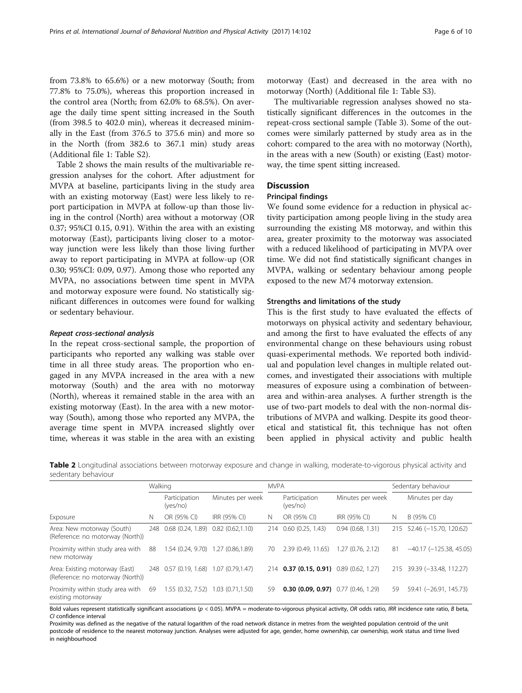from 73.8% to 65.6%) or a new motorway (South; from 77.8% to 75.0%), whereas this proportion increased in the control area (North; from 62.0% to 68.5%). On average the daily time spent sitting increased in the South (from 398.5 to 402.0 min), whereas it decreased minimally in the East (from 376.5 to 375.6 min) and more so in the North (from 382.6 to 367.1 min) study areas (Additional file [1](#page-7-0): Table S2).

Table 2 shows the main results of the multivariable regression analyses for the cohort. After adjustment for MVPA at baseline, participants living in the study area with an existing motorway (East) were less likely to report participation in MVPA at follow-up than those living in the control (North) area without a motorway (OR 0.37; 95%CI 0.15, 0.91). Within the area with an existing motorway (East), participants living closer to a motorway junction were less likely than those living further away to report participating in MVPA at follow-up (OR 0.30; 95%CI: 0.09, 0.97). Among those who reported any MVPA, no associations between time spent in MVPA and motorway exposure were found. No statistically significant differences in outcomes were found for walking or sedentary behaviour.

### Repeat cross-sectional analysis

In the repeat cross-sectional sample, the proportion of participants who reported any walking was stable over time in all three study areas. The proportion who engaged in any MVPA increased in the area with a new motorway (South) and the area with no motorway (North), whereas it remained stable in the area with an existing motorway (East). In the area with a new motorway (South), among those who reported any MVPA, the average time spent in MVPA increased slightly over time, whereas it was stable in the area with an existing

motorway (East) and decreased in the area with no motorway (North) (Additional file [1](#page-7-0): Table S3).

The multivariable regression analyses showed no statistically significant differences in the outcomes in the repeat-cross sectional sample (Table [3\)](#page-6-0). Some of the outcomes were similarly patterned by study area as in the cohort: compared to the area with no motorway (North), in the areas with a new (South) or existing (East) motorway, the time spent sitting increased.

### **Discussion**

### Principal findings

We found some evidence for a reduction in physical activity participation among people living in the study area surrounding the existing M8 motorway, and within this area, greater proximity to the motorway was associated with a reduced likelihood of participating in MVPA over time. We did not find statistically significant changes in MVPA, walking or sedentary behaviour among people exposed to the new M74 motorway extension.

### Strengths and limitations of the study

This is the first study to have evaluated the effects of motorways on physical activity and sedentary behaviour, and among the first to have evaluated the effects of any environmental change on these behaviours using robust quasi-experimental methods. We reported both individual and population level changes in multiple related outcomes, and investigated their associations with multiple measures of exposure using a combination of betweenarea and within-area analyses. A further strength is the use of two-part models to deal with the non-normal distributions of MVPA and walking. Despite its good theoretical and statistical fit, this technique has not often been applied in physical activity and public health

Table 2 Longitudinal associations between motorway exposure and change in walking, moderate-to-vigorous physical activity and sedentary behaviour

| Walking                                                            |     |                           |                  | <b>MVPA</b> |                                              |                  |    | Sedentary behaviour           |  |
|--------------------------------------------------------------------|-----|---------------------------|------------------|-------------|----------------------------------------------|------------------|----|-------------------------------|--|
|                                                                    |     | Participation<br>(yes/no) | Minutes per week |             | Participation<br>(yes/no)                    | Minutes per week |    | Minutes per day               |  |
| Exposure                                                           | N   | OR (95% CI)               | IRR (95% CI)     | Ν           | OR (95% CI)                                  | IRR (95% CI)     | N  | B (95% CI)                    |  |
| Area: New motorway (South)<br>(Reference: no motorway (North))     | 248 | 0.68(0.24, 1.89)          | 0.82(0.62,1.10)  |             | 214 0.60 (0.25, 1.43)                        | 0.94(0.68, 1.31) |    | 215 52.46 (-15.70, 120.62)    |  |
| Proximity within study area with<br>new motorway                   | 88  | 1.54(0.24, 9.70)          | 1.27 (0.86,1.89) | 70          | 2.39 (0.49, 11.65)                           | 1.27(0.76, 2.12) | 81 | $-40.17$ ( $-125.38$ , 45.05) |  |
| Area: Existing motorway (East)<br>(Reference: no motorway (North)) |     | 248 0.57 (0.19, 1.68)     | 1.07 (0.79.1.47) |             | 214 0.37 (0.15, 0.91) 0.89 (0.62, 1.27)      |                  |    | 215 39.39 (-33.48, 112.27)    |  |
| Proximity within study area with<br>existing motorway              | 69  | 1.55 (0.32, 7.52)         | 1.03(0.71, 1.50) | 59          | <b>0.30 (0.09, 0.97)</b> $0.77$ (0.46, 1.29) |                  | 59 | 59.41 (-26.91, 145.73)        |  |

Bold values represent statistically significant associations ( $p < 0.05$ ). MVPA = moderate-to-vigorous physical activity, OR odds ratio, IRR incidence rate ratio, B beta, CI confidence interval

Proximity was defined as the negative of the natural logarithm of the road network distance in metres from the weighted population centroid of the unit postcode of residence to the nearest motorway junction. Analyses were adjusted for age, gender, home ownership, car ownership, work status and time lived in neighbourhood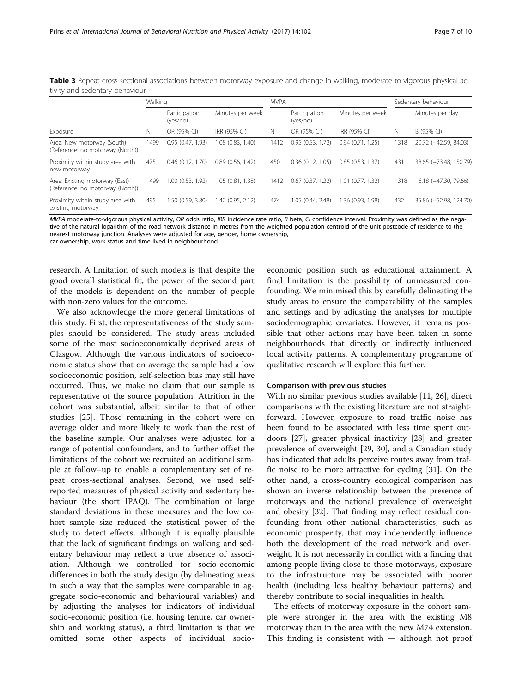|                                                                    | Walking |                           |                   | <b>MVPA</b> |                           |                       |      | Sedentary behaviour    |  |
|--------------------------------------------------------------------|---------|---------------------------|-------------------|-------------|---------------------------|-----------------------|------|------------------------|--|
|                                                                    |         | Participation<br>(yes/no) | Minutes per week  |             | Participation<br>(yes/no) | Minutes per week      |      | Minutes per day        |  |
| Exposure                                                           | N       | OR (95% CI)               | IRR (95% CI)      | N           | OR (95% CI)               | IRR (95% CI)          | N    | B (95% CI)             |  |
| Area: New motorway (South)<br>(Reference: no motorway (North))     | 1499    | 0.95(0.47, 1.93)          | 1.08 (0.83, 1.40) | 1412        | 0.95(0.53, 1.72)          | 0.94(0.71, 1.25)      | 1318 | 20.72 (-42.59, 84.03)  |  |
| Proximity within study area with<br>new motorway                   | 475     | $0.46$ $(0.12, 1.70)$     | 0.89(0.56, 1.42)  | 450         | 0.36(0.12, 1.05)          | 0.85(0.53, 1.37)      | 431  | 38.65 (-73.48, 150.79) |  |
| Area: Existing motorway (East)<br>(Reference: no motorway (North)) | 1499    | 1.00 (0.53, 1.92)         | 1.05(0.81, 1.38)  | 1412        | $0.67$ $(0.37, 1.22)$     | $1.01$ $(0.77, 1.32)$ | 1318 | 16.18 (-47.30, 79.66)  |  |
| Proximity within study area with<br>existing motorway              | 495     | 1.50 (0.59, 3.80)         | 1.42 (0.95, 2.12) | 474         | 1.05 (0.44, 2.48)         | 1.36 (0.93, 1.98)     | 432  | 35.86 (-52.98, 124.70) |  |

<span id="page-6-0"></span>Table 3 Repeat cross-sectional associations between motorway exposure and change in walking, moderate-to-vigorous physical activity and sedentary behaviour

MVPA moderate-to-vigorous physical activity, OR odds ratio, IRR incidence rate ratio, B beta, CI confidence interval. Proximity was defined as the negative of the natural logarithm of the road network distance in metres from the weighted population centroid of the unit postcode of residence to the nearest motorway junction. Analyses were adjusted for age, gender, home ownership,

car ownership, work status and time lived in neighbourhood

research. A limitation of such models is that despite the good overall statistical fit, the power of the second part of the models is dependent on the number of people with non-zero values for the outcome.

We also acknowledge the more general limitations of this study. First, the representativeness of the study samples should be considered. The study areas included some of the most socioeconomically deprived areas of Glasgow. Although the various indicators of socioeconomic status show that on average the sample had a low socioeconomic position, self-selection bias may still have occurred. Thus, we make no claim that our sample is representative of the source population. Attrition in the cohort was substantial, albeit similar to that of other studies [\[25](#page-9-0)]. Those remaining in the cohort were on average older and more likely to work than the rest of the baseline sample. Our analyses were adjusted for a range of potential confounders, and to further offset the limitations of the cohort we recruited an additional sample at follow–up to enable a complementary set of repeat cross-sectional analyses. Second, we used selfreported measures of physical activity and sedentary behaviour (the short IPAQ). The combination of large standard deviations in these measures and the low cohort sample size reduced the statistical power of the study to detect effects, although it is equally plausible that the lack of significant findings on walking and sedentary behaviour may reflect a true absence of association. Although we controlled for socio-economic differences in both the study design (by delineating areas in such a way that the samples were comparable in aggregate socio-economic and behavioural variables) and by adjusting the analyses for indicators of individual socio-economic position (i.e. housing tenure, car ownership and working status), a third limitation is that we omitted some other aspects of individual socio-

economic position such as educational attainment. A final limitation is the possibility of unmeasured confounding. We minimised this by carefully delineating the study areas to ensure the comparability of the samples and settings and by adjusting the analyses for multiple sociodemographic covariates. However, it remains possible that other actions may have been taken in some neighbourhoods that directly or indirectly influenced local activity patterns. A complementary programme of qualitative research will explore this further.

### Comparison with previous studies

With no similar previous studies available [\[11,](#page-8-0) [26\]](#page-9-0), direct comparisons with the existing literature are not straightforward. However, exposure to road traffic noise has been found to be associated with less time spent outdoors [[27\]](#page-9-0), greater physical inactivity [\[28\]](#page-9-0) and greater prevalence of overweight [\[29](#page-9-0), [30\]](#page-9-0), and a Canadian study has indicated that adults perceive routes away from traffic noise to be more attractive for cycling [\[31\]](#page-9-0). On the other hand, a cross-country ecological comparison has shown an inverse relationship between the presence of motorways and the national prevalence of overweight and obesity [\[32](#page-9-0)]. That finding may reflect residual confounding from other national characteristics, such as economic prosperity, that may independently influence both the development of the road network and overweight. It is not necessarily in conflict with a finding that among people living close to those motorways, exposure to the infrastructure may be associated with poorer health (including less healthy behaviour patterns) and thereby contribute to social inequalities in health.

The effects of motorway exposure in the cohort sample were stronger in the area with the existing M8 motorway than in the area with the new M74 extension. This finding is consistent with — although not proof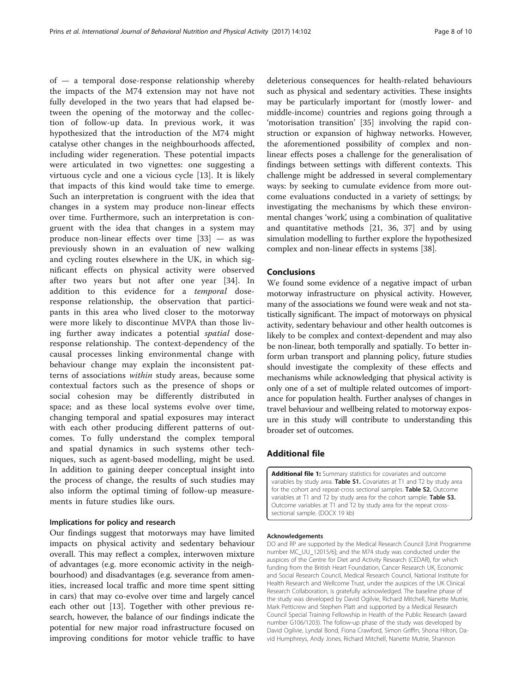<span id="page-7-0"></span>of — a temporal dose-response relationship whereby the impacts of the M74 extension may not have not fully developed in the two years that had elapsed between the opening of the motorway and the collection of follow-up data. In previous work, it was hypothesized that the introduction of the M74 might catalyse other changes in the neighbourhoods affected, including wider regeneration. These potential impacts were articulated in two vignettes: one suggesting a virtuous cycle and one a vicious cycle [[13\]](#page-8-0). It is likely that impacts of this kind would take time to emerge. Such an interpretation is congruent with the idea that changes in a system may produce non-linear effects over time. Furthermore, such an interpretation is congruent with the idea that changes in a system may produce non-linear effects over time [[33](#page-9-0)] — as was previously shown in an evaluation of new walking and cycling routes elsewhere in the UK, in which significant effects on physical activity were observed after two years but not after one year [\[34](#page-9-0)]. In addition to this evidence for a temporal doseresponse relationship, the observation that participants in this area who lived closer to the motorway were more likely to discontinue MVPA than those living further away indicates a potential spatial doseresponse relationship. The context-dependency of the causal processes linking environmental change with behaviour change may explain the inconsistent patterns of associations within study areas, because some contextual factors such as the presence of shops or social cohesion may be differently distributed in space; and as these local systems evolve over time, changing temporal and spatial exposures may interact with each other producing different patterns of outcomes. To fully understand the complex temporal and spatial dynamics in such systems other techniques, such as agent-based modelling, might be used. In addition to gaining deeper conceptual insight into the process of change, the results of such studies may also inform the optimal timing of follow-up measurements in future studies like ours.

### Implications for policy and research

Our findings suggest that motorways may have limited impacts on physical activity and sedentary behaviour overall. This may reflect a complex, interwoven mixture of advantages (e.g. more economic activity in the neighbourhood) and disadvantages (e.g. severance from amenities, increased local traffic and more time spent sitting in cars) that may co-evolve over time and largely cancel each other out [\[13\]](#page-8-0). Together with other previous research, however, the balance of our findings indicate the potential for new major road infrastructure focused on improving conditions for motor vehicle traffic to have

deleterious consequences for health-related behaviours such as physical and sedentary activities. These insights may be particularly important for (mostly lower- and middle-income) countries and regions going through a 'motorisation transition' [\[35\]](#page-9-0) involving the rapid construction or expansion of highway networks. However, the aforementioned possibility of complex and nonlinear effects poses a challenge for the generalisation of findings between settings with different contexts. This challenge might be addressed in several complementary ways: by seeking to cumulate evidence from more outcome evaluations conducted in a variety of settings; by investigating the mechanisms by which these environmental changes 'work', using a combination of qualitative and quantitative methods [[21, 36, 37\]](#page-9-0) and by using simulation modelling to further explore the hypothesized complex and non-linear effects in systems [\[38](#page-9-0)].

### **Conclusions**

We found some evidence of a negative impact of urban motorway infrastructure on physical activity. However, many of the associations we found were weak and not statistically significant. The impact of motorways on physical activity, sedentary behaviour and other health outcomes is likely to be complex and context-dependent and may also be non-linear, both temporally and spatially. To better inform urban transport and planning policy, future studies should investigate the complexity of these effects and mechanisms while acknowledging that physical activity is only one of a set of multiple related outcomes of importance for population health. Further analyses of changes in travel behaviour and wellbeing related to motorway exposure in this study will contribute to understanding this broader set of outcomes.

# Additional file

[Additional file 1:](dx.doi.org/10.1186/s12966-017-0557-0) Summary statistics for covariates and outcome variables by study area. Table S1. Covariates at T1 and T2 by study area for the cohort and repeat-cross sectional samples. Table S2. Outcome variables at T1 and T2 by study area for the cohort sample. Table S3. Outcome variables at T1 and T2 by study area for the repeat crosssectional sample. (DOCX 19 kb)

#### Acknowledgements

DO and RP are supported by the Medical Research Council [Unit Programme number MC\_UU\_12015/6]; and the M74 study was conducted under the auspices of the Centre for Diet and Activity Research (CEDAR), for which funding from the British Heart Foundation, Cancer Research UK, Economic and Social Research Council, Medical Research Council, National Institute for Health Research and Wellcome Trust, under the auspices of the UK Clinical Research Collaboration, is gratefully acknowledged. The baseline phase of the study was developed by David Ogilvie, Richard Mitchell, Nanette Mutrie, Mark Petticrew and Stephen Platt and supported by a Medical Research Council Special Training Fellowship in Health of the Public Research (award number G106/1203). The follow-up phase of the study was developed by David Ogilvie, Lyndal Bond, Fiona Crawford, Simon Griffin, Shona Hilton, David Humphreys, Andy Jones, Richard Mitchell, Nanette Mutrie, Shannon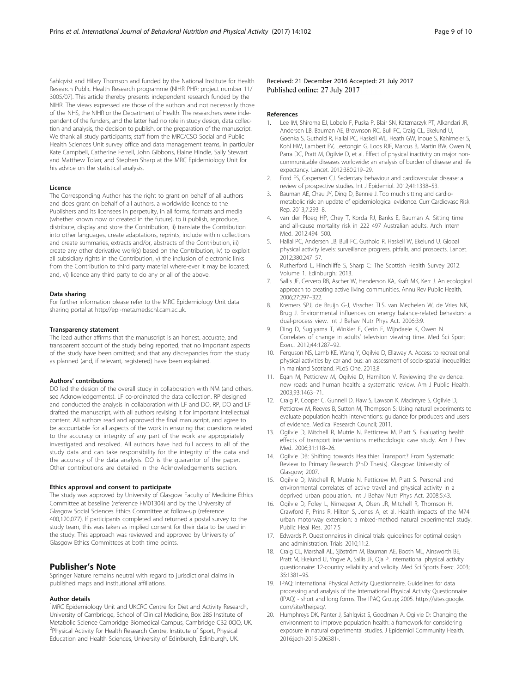<span id="page-8-0"></span>Sahlqvist and Hilary Thomson and funded by the National Institute for Health Research Public Health Research programme (NIHR PHR; project number 11/ 3005/07). This article thereby presents independent research funded by the NIHR. The views expressed are those of the authors and not necessarily those of the NHS, the NIHR or the Department of Health. The researchers were independent of the funders, and the latter had no role in study design, data collection and analysis, the decision to publish, or the preparation of the manuscript. We thank all study participants; staff from the MRC/CSO Social and Public Health Sciences Unit survey office and data management teams, in particular Kate Campbell, Catherine Ferrell, John Gibbons, Elaine Hindle, Sally Stewart and Matthew Tolan; and Stephen Sharp at the MRC Epidemiology Unit for his advice on the statistical analysis.

#### Licence

The Corresponding Author has the right to grant on behalf of all authors and does grant on behalf of all authors, a worldwide licence to the Publishers and its licensees in perpetuity, in all forms, formats and media (whether known now or created in the future), to i) publish, reproduce, distribute, display and store the Contribution, ii) translate the Contribution into other languages, create adaptations, reprints, include within collections and create summaries, extracts and/or, abstracts of the Contribution, iii) create any other derivative work(s) based on the Contribution, iv) to exploit all subsidiary rights in the Contribution, v) the inclusion of electronic links from the Contribution to third party material where-ever it may be located; and, vi) licence any third party to do any or all of the above.

### Data sharing

For further information please refer to the MRC Epidemiology Unit data sharing portal at [http://epi-meta.medschl.cam.ac.uk.](http://epi-meta.medschl.cam.ac.uk)

### Transparency statement

The lead author affirms that the manuscript is an honest, accurate, and transparent account of the study being reported; that no important aspects of the study have been omitted; and that any discrepancies from the study as planned (and, if relevant, registered) have been explained.

### Authors' contributions

DO led the design of the overall study in collaboration with NM (and others, see Acknowledgements). LF co-ordinated the data collection. RP designed and conducted the analysis in collaboration with LF and DO. RP, DO and LF drafted the manuscript, with all authors revising it for important intellectual content. All authors read and approved the final manuscript, and agree to be accountable for all aspects of the work in ensuring that questions related to the accuracy or integrity of any part of the work are appropriately investigated and resolved. All authors have had full access to all of the study data and can take responsibility for the integrity of the data and the accuracy of the data analysis. DO is the guarantor of the paper. Other contributions are detailed in the Acknowledgements section.

#### Ethics approval and consent to participate

The study was approved by University of Glasgow Faculty of Medicine Ethics Committee at baseline (reference FM01304) and by the University of Glasgow Social Sciences Ethics Committee at follow-up (reference 400,120,077). If participants completed and returned a postal survey to the study team, this was taken as implied consent for their data to be used in the study. This approach was reviewed and approved by University of Glasgow Ethics Committees at both time points.

### Publisher's Note

Springer Nature remains neutral with regard to jurisdictional claims in published maps and institutional affiliations.

#### Author details

<sup>1</sup>MRC Epidemiology Unit and UKCRC Centre for Diet and Activity Research, University of Cambridge, School of Clinical Medicine, Box 285 Institute of Metabolic Science Cambridge Biomedical Campus, Cambridge CB2 0QQ, UK. <sup>2</sup> Physical Activity for Health Research Centre, Institute of Sport, Physical Education and Health Sciences, University of Edinburgh, Edinburgh, UK.

Received: 21 December 2016 Accepted: 21 July 2017 Published online: 27 July 2017

#### References

- 1. Lee IM, Shiroma EJ, Lobelo F, Puska P, Blair SN, Katzmarzyk PT, Alkandari JR, Andersen LB, Bauman AE, Brownson RC, Bull FC, Craig CL, Ekelund U, Goenka S, Guthold R, Hallal PC, Haskell WL, Heath GW, Inoue S, Kahlmeier S, Kohl HW, Lambert EV, Leetongin G, Loos RJF, Marcus B, Martin BW, Owen N, Parra DC, Pratt M, Ogilvie D, et al. Effect of physical inactivity on major noncommunicable diseases worldwide: an analysis of burden of disease and life expectancy. Lancet. 2012;380:219–29.
- 2. Ford ES, Caspersen CJ. Sedentary behaviour and cardiovascular disease: a review of prospective studies. Int J Epidemiol. 2012;41:1338–53.
- 3. Bauman AE, Chau JY, Ding D, Bennie J. Too much sitting and cardiometabolic risk: an update of epidemiological evidence. Curr Cardiovasc Risk Rep. 2013;7:293–8.
- 4. van der Ploeg HP, Chey T, Korda RJ, Banks E, Bauman A. Sitting time and all-cause mortality risk in 222 497 Australian adults. Arch Intern Med. 2012:494–500.
- 5. Hallal PC, Andersen LB, Bull FC, Guthold R, Haskell W, Ekelund U. Global physical activity levels: surveillance progress, pitfalls, and prospects. Lancet. 2012;380:247–57.
- 6. Rutherford L, Hinchliffe S, Sharp C: The Scottish Health Survey 2012. Volume 1. Edinburgh; 2013.
- Sallis JF, Cervero RB, Ascher W, Henderson KA, Kraft MK, Kerr J. An ecological approach to creating active living communities. Annu Rev Public Health. 2006;27:297–322.
- 8. Kremers SPJ, de Bruijn G-J, Visscher TLS, van Mechelen W, de Vries NK, Brug J. Environmental influences on energy balance-related behaviors: a dual-process view. Int J Behav Nutr Phys Act. 2006;3:9.
- 9. Ding D, Sugiyama T, Winkler E, Cerin E, Wijndaele K, Owen N. Correlates of change in adults' television viewing time. Med Sci Sport Exerc. 2012;44:1287–92.
- 10. Ferguson NS, Lamb KE, Wang Y, Ogilvie D, Ellaway A. Access to recreational physical activities by car and bus: an assessment of socio-spatial inequalities in mainland Scotland. PLoS One. 2013;8
- 11. Egan M, Petticrew M, Ogilvie D, Hamilton V. Reviewing the evidence. new roads and human health: a systematic review. Am J Public Health. 2003;93:1463–71.
- 12. Craig P, Cooper C, Gunnell D, Haw S, Lawson K, Macintyre S, Ogilvie D, Petticrew M, Reeves B, Sutton M, Thompson S: Using natural experiments to evaluate population health interventions: guidance for producers and users of evidence. Medical Research Council; 2011.
- 13. Ogilvie D, Mitchell R, Mutrie N, Petticrew M, Platt S, Evaluating health effects of transport interventions methodologic case study. Am J Prev Med. 2006;31:118–26.
- 14. Ogilvie DB: Shifting towards Healthier Transport? From Systematic Review to Primary Research (PhD Thesis). Glasgow: University of Glasgow; 2007.
- 15. Ogilvie D, Mitchell R, Mutrie N, Petticrew M, Platt S. Personal and environmental correlates of active travel and physical activity in a deprived urban population. Int J Behav Nutr Phys Act. 2008;5:43.
- 16. Ogilvie D, Foley L, Nimegeer A, Olsen JR, Mitchell R, Thomson H, Crawford F, Prins R, Hilton S, Jones A, et al. Health impacts of the M74 urban motorway extension: a mixed-method natural experimental study. Public Heal Res. 2017;5
- 17. Edwards P. Questionnaires in clinical trials: guidelines for optimal design and administration. Trials. 2010;11:2.
- 18. Craig CL, Marshall AL, Sjöström M, Bauman AE, Booth ML, Ainsworth BE, Pratt M, Ekelund U, Yngve A, Sallis JF, Oja P. International physical activity questionnaire: 12-country reliability and validity. Med Sci Sports Exerc. 2003; 35:1381–95.
- 19. IPAQ: International Physical Activity Questionnaire. Guidelines for data processing and analysis of the International Physical Activity Questionnaire (IPAQ) - short and long forms. The IPAQ Group; 2005. [https://sites.google.](https://sites.google.com/site/theipaq/) [com/site/theipaq/](https://sites.google.com/site/theipaq/).
- 20. Humphreys DK, Panter J, Sahlqvist S, Goodman A, Ogilvie D: Changing the environment to improve population health: a framework for considering exposure in natural experimental studies. J Epidemiol Community Health. 2016:jech-2015-206381-.